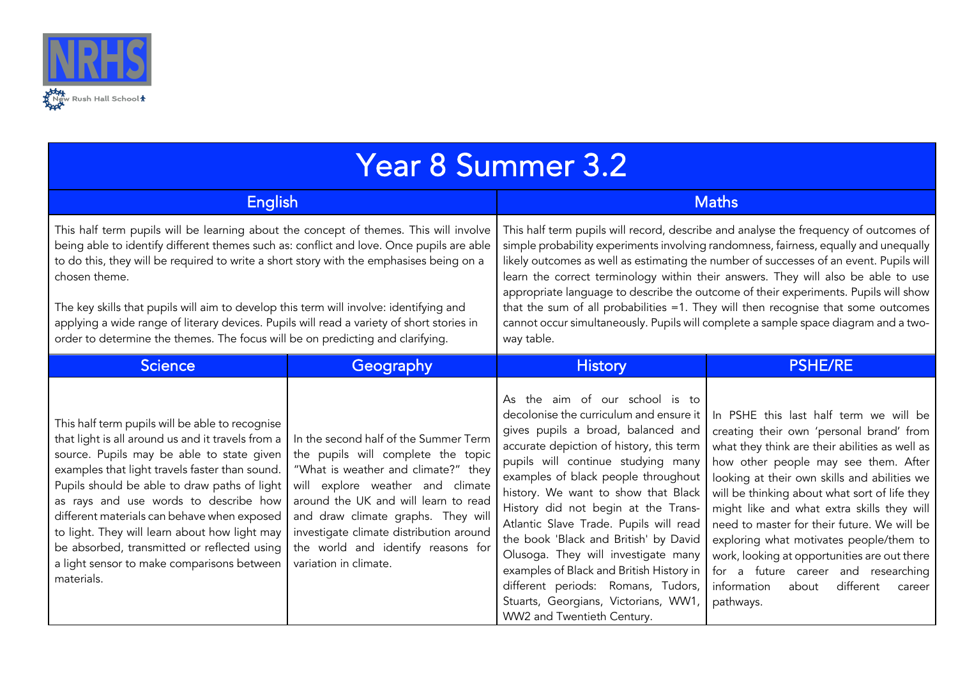

| <b>Year 8 Summer 3.2</b>                                                                                                                                                                                                                                                                                                                                                                                                                                                                                                                                               |                                                                                                                                                                                                                                                                                                                                                |                                                                                                                                                                                                                                                                                                                                                                                                                                                                                                                                                                                                                                              |                                                                                                                                                                                                                                                                                                                                                                                                                                                                                                                                                                          |  |  |
|------------------------------------------------------------------------------------------------------------------------------------------------------------------------------------------------------------------------------------------------------------------------------------------------------------------------------------------------------------------------------------------------------------------------------------------------------------------------------------------------------------------------------------------------------------------------|------------------------------------------------------------------------------------------------------------------------------------------------------------------------------------------------------------------------------------------------------------------------------------------------------------------------------------------------|----------------------------------------------------------------------------------------------------------------------------------------------------------------------------------------------------------------------------------------------------------------------------------------------------------------------------------------------------------------------------------------------------------------------------------------------------------------------------------------------------------------------------------------------------------------------------------------------------------------------------------------------|--------------------------------------------------------------------------------------------------------------------------------------------------------------------------------------------------------------------------------------------------------------------------------------------------------------------------------------------------------------------------------------------------------------------------------------------------------------------------------------------------------------------------------------------------------------------------|--|--|
| <b>English</b>                                                                                                                                                                                                                                                                                                                                                                                                                                                                                                                                                         |                                                                                                                                                                                                                                                                                                                                                | <b>Maths</b>                                                                                                                                                                                                                                                                                                                                                                                                                                                                                                                                                                                                                                 |                                                                                                                                                                                                                                                                                                                                                                                                                                                                                                                                                                          |  |  |
| This half term pupils will be learning about the concept of themes. This will involve<br>being able to identify different themes such as: conflict and love. Once pupils are able<br>to do this, they will be required to write a short story with the emphasises being on a<br>chosen theme.<br>The key skills that pupils will aim to develop this term will involve: identifying and<br>applying a wide range of literary devices. Pupils will read a variety of short stories in<br>order to determine the themes. The focus will be on predicting and clarifying. |                                                                                                                                                                                                                                                                                                                                                | This half term pupils will record, describe and analyse the frequency of outcomes of<br>simple probability experiments involving randomness, fairness, equally and unequally<br>likely outcomes as well as estimating the number of successes of an event. Pupils will<br>learn the correct terminology within their answers. They will also be able to use<br>appropriate language to describe the outcome of their experiments. Pupils will show<br>that the sum of all probabilities =1. They will then recognise that some outcomes<br>cannot occur simultaneously. Pupils will complete a sample space diagram and a two-<br>way table. |                                                                                                                                                                                                                                                                                                                                                                                                                                                                                                                                                                          |  |  |
| <b>Science</b>                                                                                                                                                                                                                                                                                                                                                                                                                                                                                                                                                         | Geography                                                                                                                                                                                                                                                                                                                                      | <b>History</b>                                                                                                                                                                                                                                                                                                                                                                                                                                                                                                                                                                                                                               | <b>PSHE/RE</b>                                                                                                                                                                                                                                                                                                                                                                                                                                                                                                                                                           |  |  |
| This half term pupils will be able to recognise<br>that light is all around us and it travels from a<br>source. Pupils may be able to state given<br>examples that light travels faster than sound.<br>Pupils should be able to draw paths of light<br>as rays and use words to describe how<br>different materials can behave when exposed<br>to light. They will learn about how light may<br>be absorbed, transmitted or reflected using<br>a light sensor to make comparisons between<br>materials.                                                                | In the second half of the Summer Term<br>the pupils will complete the topic<br>"What is weather and climate?" they<br>will explore weather and climate<br>around the UK and will learn to read<br>and draw climate graphs. They will<br>investigate climate distribution around<br>the world and identify reasons for<br>variation in climate. | As the aim of our school is to<br>decolonise the curriculum and ensure it<br>gives pupils a broad, balanced and<br>accurate depiction of history, this term<br>pupils will continue studying many<br>examples of black people throughout<br>history. We want to show that Black<br>History did not begin at the Trans-<br>Atlantic Slave Trade. Pupils will read<br>the book 'Black and British' by David<br>Olusoga. They will investigate many<br>examples of Black and British History in<br>different periods: Romans, Tudors,<br>Stuarts, Georgians, Victorians, WW1<br>WW2 and Twentieth Century.                                      | In PSHE this last half term we will be<br>creating their own 'personal brand' from<br>what they think are their abilities as well as<br>how other people may see them. After<br>looking at their own skills and abilities we<br>will be thinking about what sort of life they<br>might like and what extra skills they will<br>need to master for their future. We will be<br>exploring what motivates people/them to<br>work, looking at opportunities are out there<br>for a future career and researching<br>different<br>information<br>about<br>career<br>pathways. |  |  |